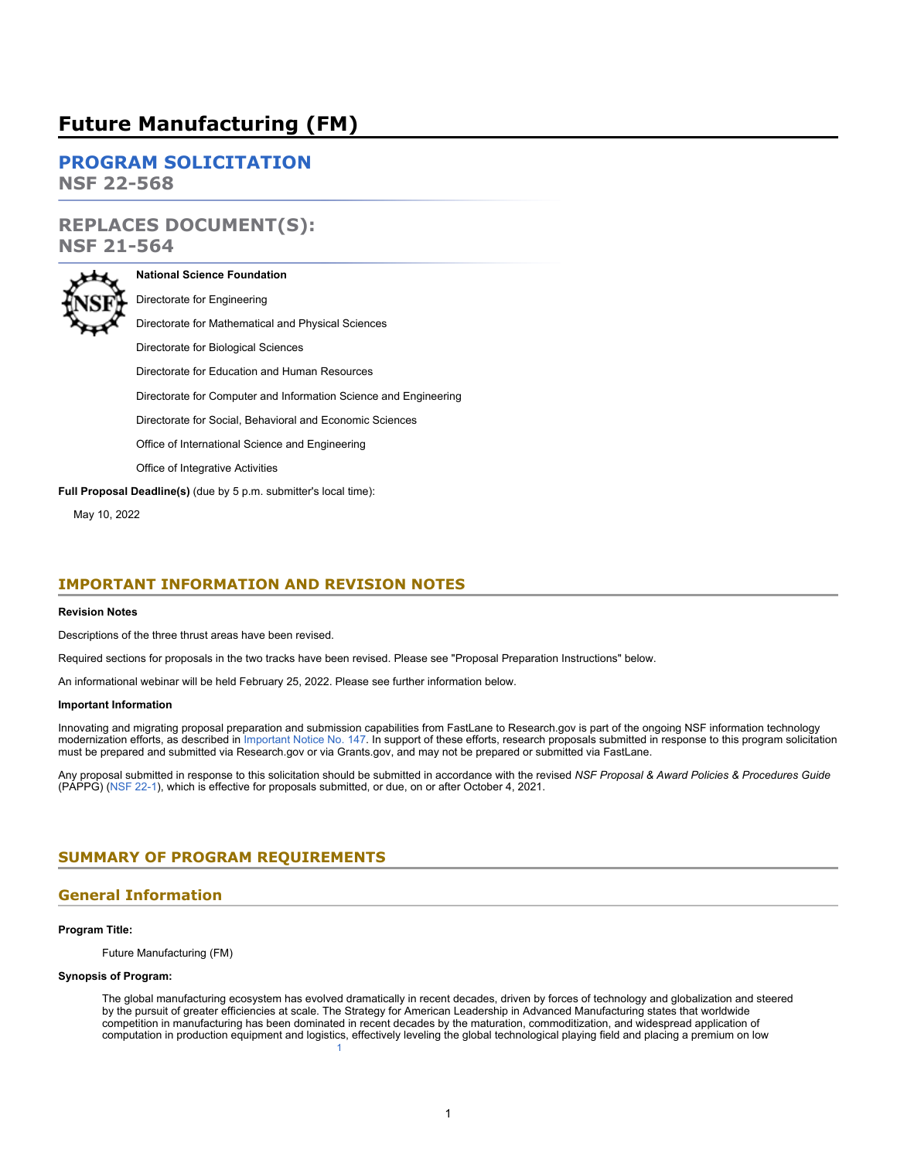# **Future Manufacturing (FM)**

**[PROGRAM SOLICITATION](#page-3-0)**

**NSF 22-568**

# **REPLACES DOCUMENT(S): NSF 21-564**



# **National Science Foundation**

Directorate for Engineering Directorate for Mathematical and Physical Sciences Directorate for Biological Sciences Directorate for Education and Human Resources Directorate for Computer and Information Science and Engineering Directorate for Social, Behavioral and Economic Sciences Office of International Science and Engineering Office of Integrative Activities

**Full Proposal Deadline(s)** (due by 5 p.m. submitter's local time):

May 10, 2022

# **IMPORTANT INFORMATION AND REVISION NOTES**

#### **Revision Notes**

Descriptions of the three thrust areas have been revised.

Required sections for proposals in the two tracks have been revised. Please see "Proposal Preparation Instructions" below.

An informational webinar will be held February 25, 2022. Please see further information below.

#### **Important Information**

Innovating and migrating proposal preparation and submission capabilities from FastLane to Research.gov is part of the ongoing NSF information technology modernization efforts, as described in [Important Notice No. 147](https://www.nsf.gov/publications/pub_summ.jsp?ods_key=in147). In support of these efforts, research proposals submitted in response to this program solicitation must be prepared and submitted via Research.gov or via Grants.gov, and may not be prepared or submitted via FastLane.

Any proposal submitted in response to this solicitation should be submitted in accordance with the revised *NSF Proposal & Award Policies & Procedures Guide* (PAPPG) [\(NSF 22-1](https://www.nsf.gov/publications/pub_summ.jsp?ods_key=nsf22001&org=NSF)), which is effective for proposals submitted, or due, on or after October 4, 2021.

# <span id="page-0-0"></span>**SUMMARY OF PROGRAM REQUIREMENTS**

# **General Information**

#### **Program Title:**

Future Manufacturing (FM)

### **Synopsis of Program:**

The global manufacturing ecosystem has evolved dramatically in recent decades, driven by forces of technology and globalization and steered by the pursuit of greater efficiencies at scale. The Strategy for American Leadership in Advanced Manufacturing states that worldwide competition in manufacturing has been dominated in recent decades by the maturation, commoditization, and widespread application of computation in production equipment and logistics, effectively leveling the global technological playing field and placing a premium on low [1](#page-1-0)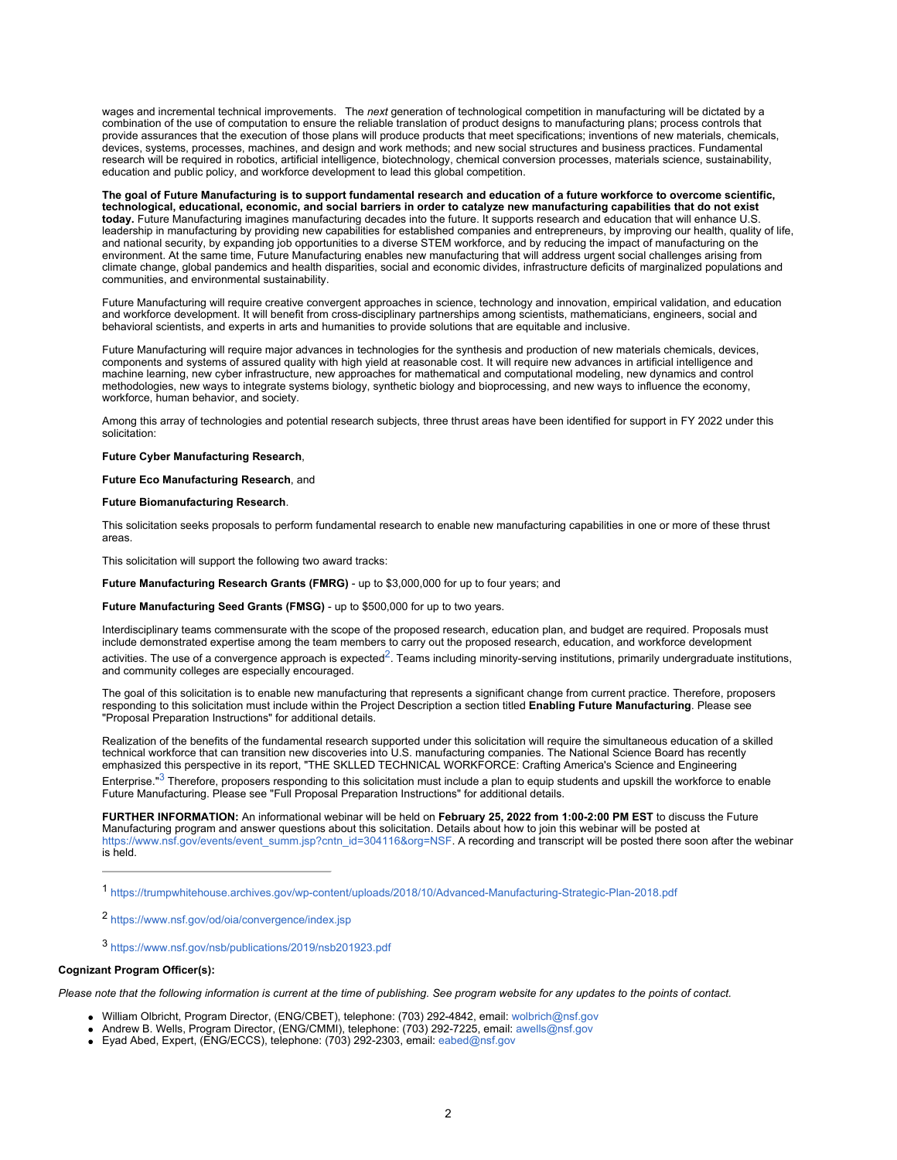wages and incremental technical improvements. The *next* generation of technological competition in manufacturing will be dictated by a combination of the use of computation to ensure the reliable translation of product designs to manufacturing plans; process controls that provide assurances that the execution of those plans will produce products that meet specifications; inventions of new materials, chemicals, devices, systems, processes, machines, and design and work methods; and new social structures and business practices. Fundamental research will be required in robotics, artificial intelligence, biotechnology, chemical conversion processes, materials science, sustainability, education and public policy, and workforce development to lead this global competition.

**The goal of Future Manufacturing is to support fundamental research and education of a future workforce to overcome scientific, technological, educational, economic, and social barriers in order to catalyze new manufacturing capabilities that do not exist today.** Future Manufacturing imagines manufacturing decades into the future. It supports research and education that will enhance U.S. leadership in manufacturing by providing new capabilities for established companies and entrepreneurs, by improving our health, quality of life, and national security, by expanding job opportunities to a diverse STEM workforce, and by reducing the impact of manufacturing on the environment. At the same time, Future Manufacturing enables new manufacturing that will address urgent social challenges arising from climate change, global pandemics and health disparities, social and economic divides, infrastructure deficits of marginalized populations and communities, and environmental sustainability.

Future Manufacturing will require creative convergent approaches in science, technology and innovation, empirical validation, and education and workforce development. It will benefit from cross-disciplinary partnerships among scientists, mathematicians, engineers, social and behavioral scientists, and experts in arts and humanities to provide solutions that are equitable and inclusive.

Future Manufacturing will require major advances in technologies for the synthesis and production of new materials chemicals, devices, components and systems of assured quality with high yield at reasonable cost. It will require new advances in artificial intelligence and machine learning, new cyber infrastructure, new approaches for mathematical and computational modeling, new dynamics and control methodologies, new ways to integrate systems biology, synthetic biology and bioprocessing, and new ways to influence the economy, workforce, human behavior, and society.

Among this array of technologies and potential research subjects, three thrust areas have been identified for support in FY 2022 under this solicitation:

#### **Future Cyber Manufacturing Research**,

#### **Future Eco Manufacturing Research**, and

#### **Future Biomanufacturing Research**.

This solicitation seeks proposals to perform fundamental research to enable new manufacturing capabilities in one or more of these thrust areas.

This solicitation will support the following two award tracks:

**Future Manufacturing Research Grants (FMRG)** - up to \$3,000,000 for up to four years; and

**Future Manufacturing Seed Grants (FMSG)** - up to \$500,000 for up to two years.

Interdisciplinary teams commensurate with the scope of the proposed research, education plan, and budget are required. Proposals must include demonstrated expertise among the team members to carry out the proposed research, education, and workforce development

activities. The use of a convergence approach is expected $^2$ . Teams including minority-serving institutions, primarily undergraduate institutions, and community colleges are especially encouraged.

The goal of this solicitation is to enable new manufacturing that represents a significant change from current practice. Therefore, proposers responding to this solicitation must include within the Project Description a section titled **Enabling Future Manufacturing**. Please see "Proposal Preparation Instructions" for additional details.

Realization of the benefits of the fundamental research supported under this solicitation will require the simultaneous education of a skilled technical workforce that can transition new discoveries into U.S. manufacturing companies. The National Science Board has recently emphasized this perspective in its report, "THE SKLLED TECHNICAL WORKFORCE: Crafting America's Science and Engineering Enterprise.<sup>"[3](#page-1-2)</sup> Therefore, proposers responding to this solicitation must include a plan to equip students and upskill the workforce to enable Future Manufacturing. Please see "Full Proposal Preparation Instructions" for additional details.

**FURTHER INFORMATION:** An informational webinar will be held on **February 25, 2022 from 1:00-2:00 PM EST** to discuss the Future Manufacturing program and answer questions about this solicitation. Details about how to join this webinar will be posted at [https://www.nsf.gov/events/event\\_summ.jsp?cntn\\_id=304116&org=NSF.](https://www.nsf.gov/events/event_summ.jsp?cntn_id=304116&org=NSF) A recording and transcript will be posted there soon after the webinar is held.

<sup>1</sup> <https://trumpwhitehouse.archives.gov/wp-content/uploads/2018/10/Advanced-Manufacturing-Strategic-Plan-2018.pdf>

- <sup>2</sup> <https://www.nsf.gov/od/oia/convergence/index.jsp>
- <sup>3</sup> <https://www.nsf.gov/nsb/publications/2019/nsb201923.pdf>

#### <span id="page-1-2"></span><span id="page-1-1"></span><span id="page-1-0"></span>**Cognizant Program Officer(s):**

*Please note that the following information is current at the time of publishing. See program website for any updates to the points of contact.*

- William Olbricht, Program Director, (ENG/CBET), telephone: (703) 292-4842, email: [wolbrich@nsf.gov](mailto:wolbrich@nsf.gov)
- Andrew B. Wells, Program Director, (ENG/CMMI), telephone: (703) 292-7225, email: [awells@nsf.gov](mailto:awells@nsf.gov)
- Eyad Abed, Expert, (ENG/ECCS), telephone: (703) 292-2303, email: [eabed@nsf.gov](mailto:eabed@nsf.gov)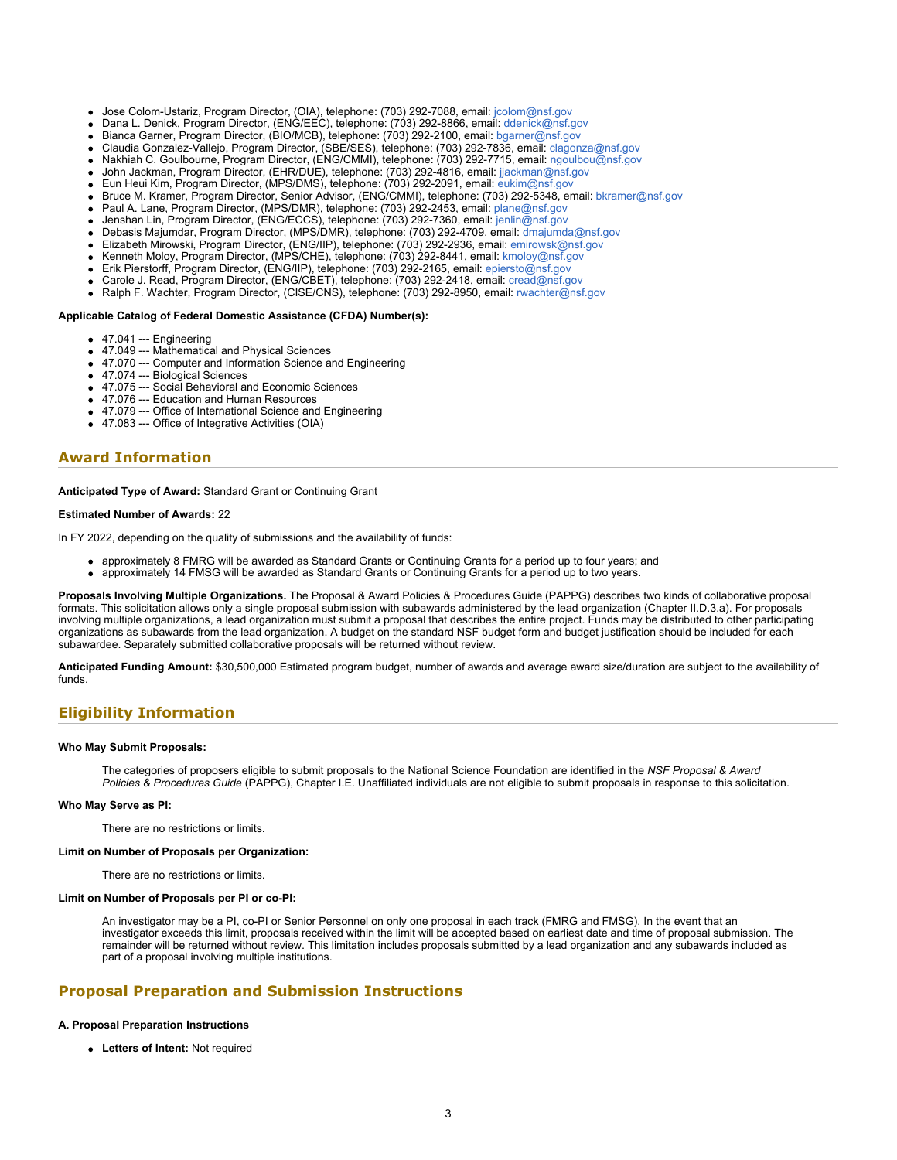- Jose Colom-Ustariz, Program Director, (OIA), telephone: (703) 292-7088, email: [jcolom@nsf.gov](mailto:jcolom@nsf.gov)
- Dana L. Denick, Program Director, (ENG/EEC), telephone: (703) 292-8866, email: [ddenick@nsf.gov](mailto:ddenick@nsf.gov)
- Bianca Garner, Program Director, (BIO/MCB), telephone: (703) 292-2100, email: [bgarner@nsf.gov](mailto:bgarner@nsf.gov)
- Claudia Gonzalez-Vallejo, Program Director, (SBE/SES), telephone: (703) 292-7836, email: [clagonza@nsf.gov](mailto:clagonza@nsf.gov)
- Nakhiah C. Goulbourne, Program Director, (ENG/CMMI), telephone: (703) 292-7715, email: [ngoulbou@nsf.gov](mailto:ngoulbou@nsf.gov)
- John Jackman, Program Director, (EHR/DUE), telephone: (703) 292-4816, email: [jjackman@nsf.gov](mailto:jjackman@nsf.gov)
- Eun Heui Kim, Program Director, (MPS/DMS), telephone: (703) 292-2091, email: [eukim@nsf.gov](mailto:eukim@nsf.gov)
- Bruce M. Kramer, Program Director, Senior Advisor, (ENG/CMMI), telephone: (703) 292-5348, email: [bkramer@nsf.gov](mailto:bkramer@nsf.gov)
- Paul A. Lane, Program Director, (MPS/DMR), telephone: (703) 292-2453, email: [plane@nsf.gov](mailto:plane@nsf.gov)
- Jenshan Lin, Program Director, (ENG/ECCS), telephone: (703) 292-7360, email: [jenlin@nsf.gov](mailto:jenlin@nsf.gov)
- Debasis Majumdar, Program Director, (MPS/DMR), telephone: (703) 292-4709, email: [dmajumda@nsf.gov](mailto:dmajumda@nsf.gov) Elizabeth Mirowski, Program Director, (ENG/IIP), telephone: (703) 292-2936, email: [emirowsk@nsf.gov](mailto:emirowsk@nsf.gov)
- 
- Kenneth Moloy, Program Director, (MPS/CHE), telephone: (703) 292-8441, email: [kmoloy@nsf.gov](mailto:kmoloy@nsf.gov)
- Erik Pierstorff, Program Director, (ENG/IIP), telephone: (703) 292-2165, email: [epiersto@nsf.gov](mailto:epiersto@nsf.gov) Carole J. Read, Program Director, (ENG/CBET), telephone: (703) 292-2418, email: [cread@nsf.gov](mailto:cread@nsf.gov)
- Ralph F. Wachter, Program Director, (CISE/CNS), telephone: (703) 292-8950, email: [rwachter@nsf.gov](mailto:rwachter@nsf.gov)

#### **Applicable Catalog of Federal Domestic Assistance (CFDA) Number(s):**

- 47.041 --- Engineering
- 47.049 --- Mathematical and Physical Sciences
- 47.070 --- Computer and Information Science and Engineering
- 47.074 --- Biological Sciences
- 47.075 --- Social Behavioral and Economic Sciences
- 47.076 --- Education and Human Resources
- 47.079 --- Office of International Science and Engineering
- 47.083 --- Office of Integrative Activities (OIA)

# **Award Information**

**Anticipated Type of Award:** Standard Grant or Continuing Grant

#### **Estimated Number of Awards:** 22

In FY 2022, depending on the quality of submissions and the availability of funds:

- approximately 8 FMRG will be awarded as Standard Grants or Continuing Grants for a period up to four years; and
- approximately 14 FMSG will be awarded as Standard Grants or Continuing Grants for a period up to two years.

**Proposals Involving Multiple Organizations.** The Proposal & Award Policies & Procedures Guide (PAPPG) describes two kinds of collaborative proposal formats. This solicitation allows only a single proposal submission with subawards administered by the lead organization (Chapter II.D.3.a). For proposals involving multiple organizations, a lead organization must submit a proposal that describes the entire project. Funds may be distributed to other participating organizations as subawards from the lead organization. A budget on the standard NSF budget form and budget justification should be included for each subawardee. Separately submitted collaborative proposals will be returned without review.

**Anticipated Funding Amount:** \$30,500,000 Estimated program budget, number of awards and average award size/duration are subject to the availability of funds.

# **Eligibility Information**

#### **Who May Submit Proposals:**

The categories of proposers eligible to submit proposals to the National Science Foundation are identified in the *NSF Proposal & Award Policies & Procedures Guide* (PAPPG), Chapter I.E. Unaffiliated individuals are not eligible to submit proposals in response to this solicitation.

#### **Who May Serve as PI:**

There are no restrictions or limits.

#### **Limit on Number of Proposals per Organization:**

There are no restrictions or limits.

#### **Limit on Number of Proposals per PI or co-PI:**

An investigator may be a PI, co-PI or Senior Personnel on only one proposal in each track (FMRG and FMSG). In the event that an investigator exceeds this limit, proposals received within the limit will be accepted based on earliest date and time of proposal submission. The remainder will be returned without review. This limitation includes proposals submitted by a lead organization and any subawards included as part of a proposal involving multiple institutions.

### **Proposal Preparation and Submission Instructions**

#### **A. Proposal Preparation Instructions**

**Letters of Intent:** Not required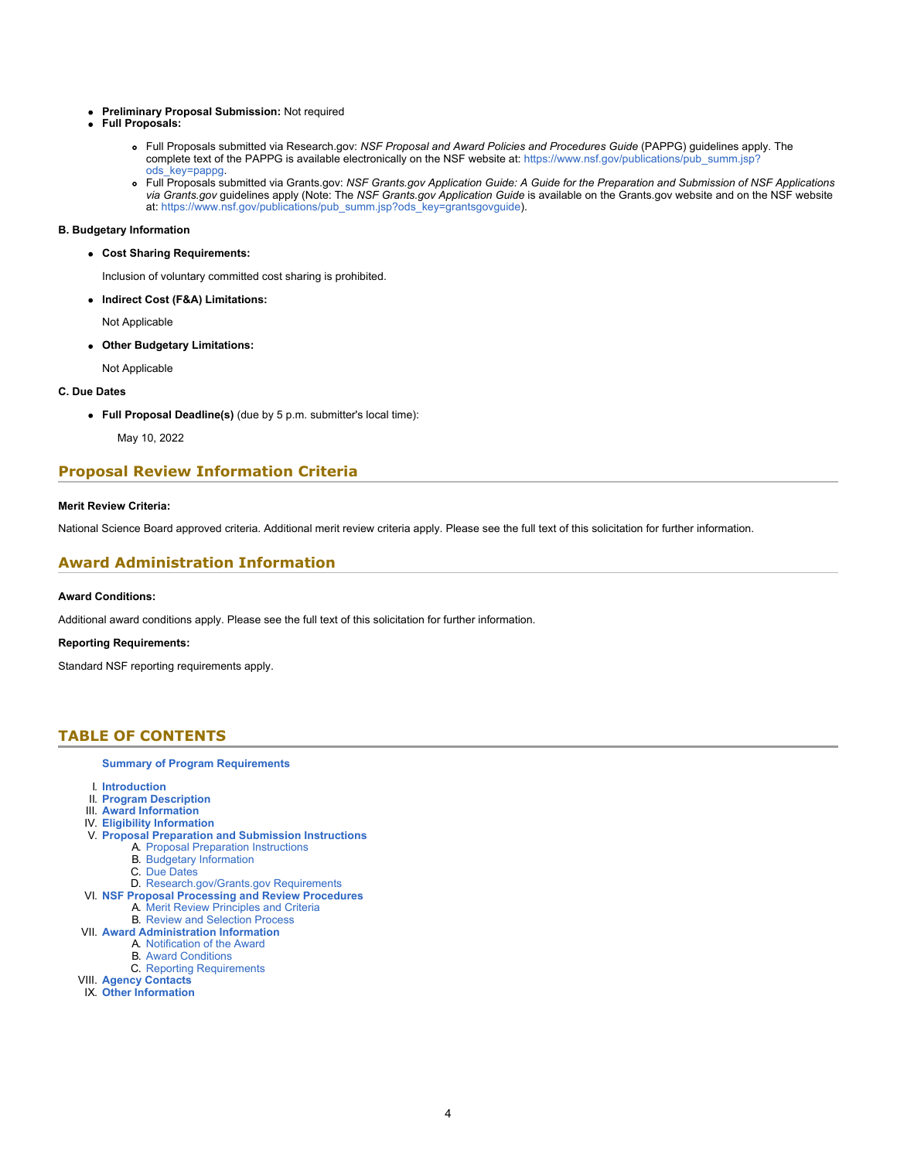#### **Preliminary Proposal Submission:** Not required

- **Full Proposals:**
	- Full Proposals submitted via Research.gov: *NSF Proposal and Award Policies and Procedures Guide* (PAPPG) guidelines apply. The complete text of the PAPPG is available electronically on the NSF website at: [https://www.nsf.gov/publications/pub\\_summ.jsp?](https://www.nsf.gov/publications/pub_summ.jsp?ods_key=pappg) [ods\\_key=pappg.](https://www.nsf.gov/publications/pub_summ.jsp?ods_key=pappg)
	- Full Proposals submitted via Grants.gov: *NSF Grants.gov Application Guide: A Guide for the Preparation and Submission of NSF Applications via Grants.gov* guidelines apply (Note: The *NSF Grants.gov Application Guide* is available on the Grants.gov website and on the NSF website at: [https://www.nsf.gov/publications/pub\\_summ.jsp?ods\\_key=grantsgovguide](https://www.nsf.gov/publications/pub_summ.jsp?ods_key=grantsgovguide)).

#### **B. Budgetary Information**

**Cost Sharing Requirements:**

Inclusion of voluntary committed cost sharing is prohibited.

**Indirect Cost (F&A) Limitations:**

Not Applicable

**Other Budgetary Limitations:**

Not Applicable

#### **C. Due Dates**

**Full Proposal Deadline(s)** (due by 5 p.m. submitter's local time):

May 10, 2022

# **Proposal Review Information Criteria**

#### **Merit Review Criteria:**

National Science Board approved criteria. Additional merit review criteria apply. Please see the full text of this solicitation for further information.

# **Award Administration Information**

#### **Award Conditions:**

Additional award conditions apply. Please see the full text of this solicitation for further information.

#### **Reporting Requirements:**

Standard NSF reporting requirements apply.

# <span id="page-3-0"></span>**TABLE OF CONTENTS**

#### **[Summary of Program Requirements](#page-0-0)**

- I. **[Introduction](#page-4-0)**
- II. **[Program Description](#page-4-1)**
- III. **[Award Information](#page-5-0)**
- IV. **[Eligibility Information](#page-6-0)**
- V. **[Proposal Preparation and Submission Instructions](#page-6-1)**
	- A. [Proposal Preparation Instructions](#page-6-1) B. [Budgetary Information](#page-7-0)
		- C. [Due Dates](#page-7-1)
		-
- D. [Research.gov/Grants.gov Requirements](#page-7-2) VI. **[NSF Proposal Processing and Review Procedures](#page-8-0)**
	- A. [Merit Review Principles and Criteria](#page-8-1)
		- B. [Review and Selection Process](#page-9-0)
- VII. **[Award Administration Information](#page-10-0)**
	- A. [Notification of the Award](#page-10-1)
		- B. [Award Conditions](#page-10-2)
	- C. [Reporting Requirements](#page-10-3)
- VIII. **[Agency Contacts](#page-10-4)**
- IX. **[Other Information](#page-11-0)**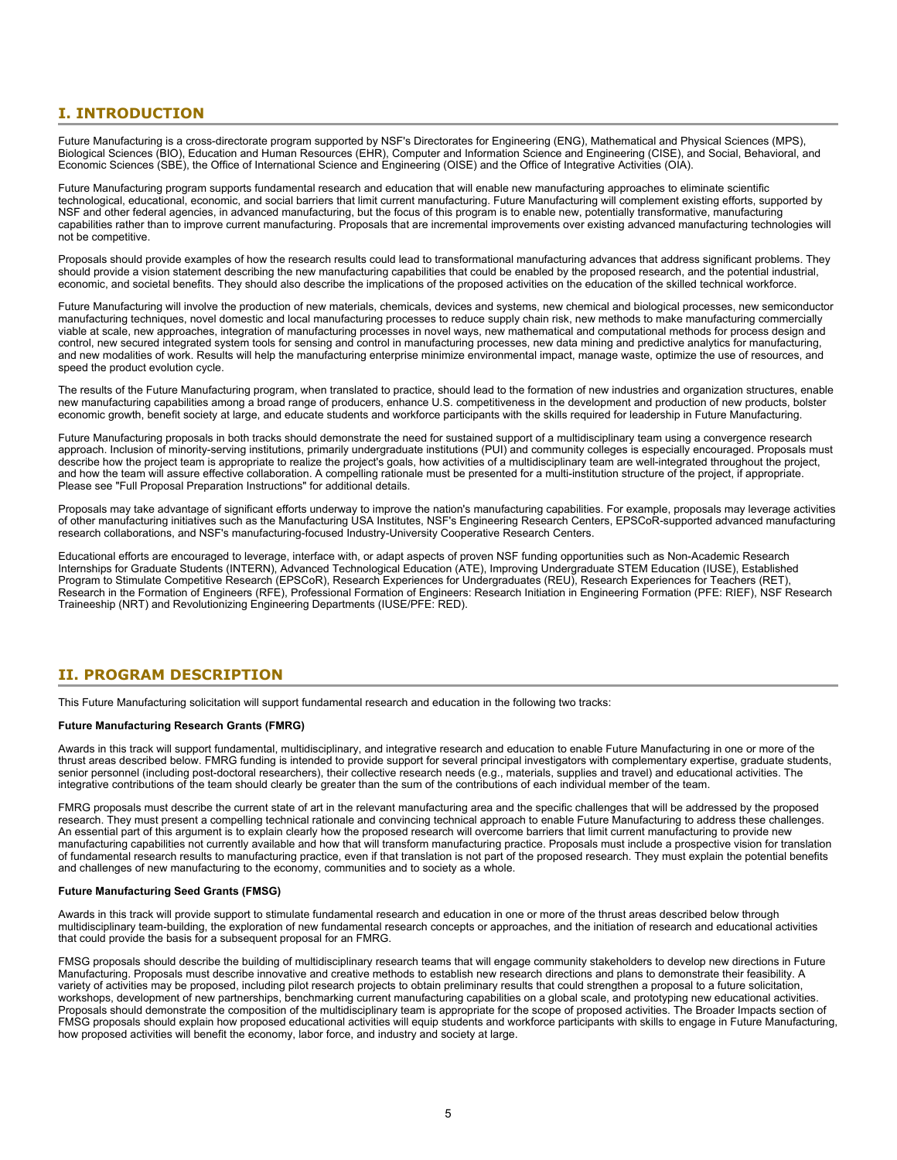# <span id="page-4-0"></span>**I. INTRODUCTION**

Future Manufacturing is a cross-directorate program supported by NSF's Directorates for Engineering (ENG), Mathematical and Physical Sciences (MPS), Biological Sciences (BIO), Education and Human Resources (EHR), Computer and Information Science and Engineering (CISE), and Social, Behavioral, and Economic Sciences (SBE), the Office of International Science and Engineering (OISE) and the Office of Integrative Activities (OIA).

Future Manufacturing program supports fundamental research and education that will enable new manufacturing approaches to eliminate scientific technological, educational, economic, and social barriers that limit current manufacturing. Future Manufacturing will complement existing efforts, supported by NSF and other federal agencies, in advanced manufacturing, but the focus of this program is to enable new, potentially transformative, manufacturing capabilities rather than to improve current manufacturing. Proposals that are incremental improvements over existing advanced manufacturing technologies will not be competitive.

Proposals should provide examples of how the research results could lead to transformational manufacturing advances that address significant problems. They should provide a vision statement describing the new manufacturing capabilities that could be enabled by the proposed research, and the potential industrial, economic, and societal benefits. They should also describe the implications of the proposed activities on the education of the skilled technical workforce.

Future Manufacturing will involve the production of new materials, chemicals, devices and systems, new chemical and biological processes, new semiconductor manufacturing techniques, novel domestic and local manufacturing processes to reduce supply chain risk, new methods to make manufacturing commercially viable at scale, new approaches, integration of manufacturing processes in novel ways, new mathematical and computational methods for process design and control, new secured integrated system tools for sensing and control in manufacturing processes, new data mining and predictive analytics for manufacturing, and new modalities of work. Results will help the manufacturing enterprise minimize environmental impact, manage waste, optimize the use of resources, and speed the product evolution cycle.

The results of the Future Manufacturing program, when translated to practice, should lead to the formation of new industries and organization structures, enable new manufacturing capabilities among a broad range of producers, enhance U.S. competitiveness in the development and production of new products, bolster economic growth, benefit society at large, and educate students and workforce participants with the skills required for leadership in Future Manufacturing.

Future Manufacturing proposals in both tracks should demonstrate the need for sustained support of a multidisciplinary team using a convergence research approach. Inclusion of minority-serving institutions, primarily undergraduate institutions (PUI) and community colleges is especially encouraged. Proposals must describe how the project team is appropriate to realize the project's goals, how activities of a multidisciplinary team are well-integrated throughout the project, and how the team will assure effective collaboration. A compelling rationale must be presented for a multi-institution structure of the project, if appropriate. Please see "Full Proposal Preparation Instructions" for additional details.

Proposals may take advantage of significant efforts underway to improve the nation's manufacturing capabilities. For example, proposals may leverage activities of other manufacturing initiatives such as the Manufacturing USA Institutes, NSF's Engineering Research Centers, EPSCoR-supported advanced manufacturing research collaborations, and NSF's manufacturing-focused Industry-University Cooperative Research Centers.

Educational efforts are encouraged to leverage, interface with, or adapt aspects of proven NSF funding opportunities such as Non-Academic Research Internships for Graduate Students (INTERN), Advanced Technological Education (ATE), Improving Undergraduate STEM Education (IUSE), Established Program to Stimulate Competitive Research (EPSCoR), Research Experiences for Undergraduates (REU), Research Experiences for Teachers (RET), Research in the Formation of Engineers (RFE), Professional Formation of Engineers: Research Initiation in Engineering Formation (PFE: RIEF), NSF Research Traineeship (NRT) and Revolutionizing Engineering Departments (IUSE/PFE: RED).

# <span id="page-4-1"></span>**II. PROGRAM DESCRIPTION**

This Future Manufacturing solicitation will support fundamental research and education in the following two tracks:

### **Future Manufacturing Research Grants (FMRG)**

Awards in this track will support fundamental, multidisciplinary, and integrative research and education to enable Future Manufacturing in one or more of the thrust areas described below. FMRG funding is intended to provide support for several principal investigators with complementary expertise, graduate students, senior personnel (including post-doctoral researchers), their collective research needs (e.g., materials, supplies and travel) and educational activities. The integrative contributions of the team should clearly be greater than the sum of the contributions of each individual member of the team.

FMRG proposals must describe the current state of art in the relevant manufacturing area and the specific challenges that will be addressed by the proposed research. They must present a compelling technical rationale and convincing technical approach to enable Future Manufacturing to address these challenges. An essential part of this argument is to explain clearly how the proposed research will overcome barriers that limit current manufacturing to provide new manufacturing capabilities not currently available and how that will transform manufacturing practice. Proposals must include a prospective vision for translation of fundamental research results to manufacturing practice, even if that translation is not part of the proposed research. They must explain the potential benefits and challenges of new manufacturing to the economy, communities and to society as a whole.

#### **Future Manufacturing Seed Grants (FMSG)**

Awards in this track will provide support to stimulate fundamental research and education in one or more of the thrust areas described below through multidisciplinary team-building, the exploration of new fundamental research concepts or approaches, and the initiation of research and educational activities that could provide the basis for a subsequent proposal for an FMRG.

FMSG proposals should describe the building of multidisciplinary research teams that will engage community stakeholders to develop new directions in Future Manufacturing. Proposals must describe innovative and creative methods to establish new research directions and plans to demonstrate their feasibility. A variety of activities may be proposed, including pilot research projects to obtain preliminary results that could strengthen a proposal to a future solicitation, workshops, development of new partnerships, benchmarking current manufacturing capabilities on a global scale, and prototyping new educational activities. Proposals should demonstrate the composition of the multidisciplinary team is appropriate for the scope of proposed activities. The Broader Impacts section of FMSG proposals should explain how proposed educational activities will equip students and workforce participants with skills to engage in Future Manufacturing, how proposed activities will benefit the economy, labor force, and industry and society at large.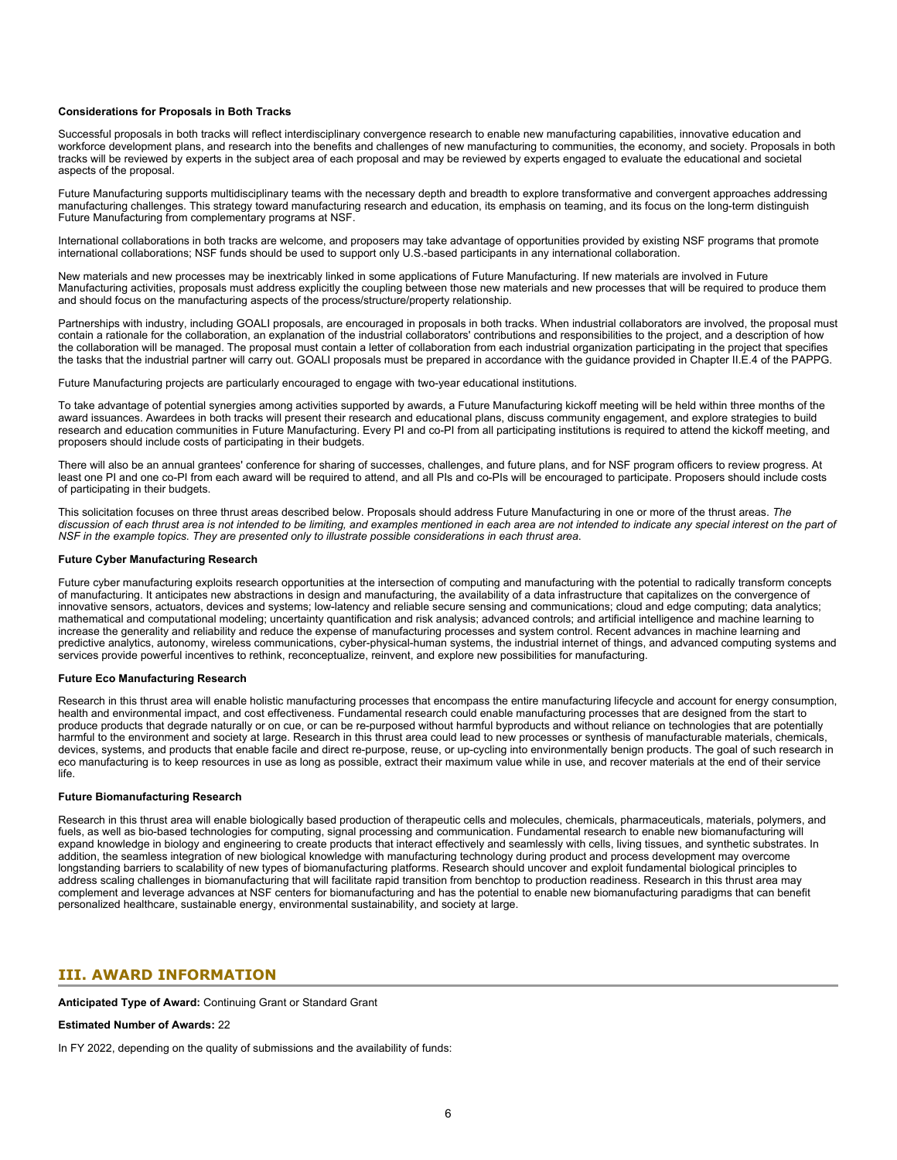#### **Considerations for Proposals in Both Tracks**

Successful proposals in both tracks will reflect interdisciplinary convergence research to enable new manufacturing capabilities, innovative education and workforce development plans, and research into the benefits and challenges of new manufacturing to communities, the economy, and society. Proposals in both tracks will be reviewed by experts in the subject area of each proposal and may be reviewed by experts engaged to evaluate the educational and societal aspects of the proposal.

Future Manufacturing supports multidisciplinary teams with the necessary depth and breadth to explore transformative and convergent approaches addressing manufacturing challenges. This strategy toward manufacturing research and education, its emphasis on teaming, and its focus on the long-term distinguish Future Manufacturing from complementary programs at NSF.

International collaborations in both tracks are welcome, and proposers may take advantage of opportunities provided by existing NSF programs that promote international collaborations; NSF funds should be used to support only U.S.-based participants in any international collaboration.

New materials and new processes may be inextricably linked in some applications of Future Manufacturing. If new materials are involved in Future Manufacturing activities, proposals must address explicitly the coupling between those new materials and new processes that will be required to produce them and should focus on the manufacturing aspects of the process/structure/property relationship.

Partnerships with industry, including GOALI proposals, are encouraged in proposals in both tracks. When industrial collaborators are involved, the proposal must contain a rationale for the collaboration, an explanation of the industrial collaborators' contributions and responsibilities to the project, and a description of how the collaboration will be managed. The proposal must contain a letter of collaboration from each industrial organization participating in the project that specifies the tasks that the industrial partner will carry out. GOALI proposals must be prepared in accordance with the guidance provided in Chapter II.E.4 of the PAPPG.

Future Manufacturing projects are particularly encouraged to engage with two-year educational institutions.

To take advantage of potential synergies among activities supported by awards, a Future Manufacturing kickoff meeting will be held within three months of the award issuances. Awardees in both tracks will present their research and educational plans, discuss community engagement, and explore strategies to build research and education communities in Future Manufacturing. Every PI and co-PI from all participating institutions is required to attend the kickoff meeting, and proposers should include costs of participating in their budgets.

There will also be an annual grantees' conference for sharing of successes, challenges, and future plans, and for NSF program officers to review progress. At least one PI and one co-PI from each award will be required to attend, and all PIs and co-PIs will be encouraged to participate. Proposers should include costs of participating in their budgets.

This solicitation focuses on three thrust areas described below. Proposals should address Future Manufacturing in one or more of the thrust areas. *The discussion of each thrust area is not intended to be limiting, and examples mentioned in each area are not intended to indicate any special interest on the part of NSF in the example topics. They are presented only to illustrate possible considerations in each thrust area*.

#### **Future Cyber Manufacturing Research**

Future cyber manufacturing exploits research opportunities at the intersection of computing and manufacturing with the potential to radically transform concepts of manufacturing. It anticipates new abstractions in design and manufacturing, the availability of a data infrastructure that capitalizes on the convergence of innovative sensors, actuators, devices and systems; low-latency and reliable secure sensing and communications; cloud and edge computing; data analytics; mathematical and computational modeling; uncertainty quantification and risk analysis; advanced controls; and artificial intelligence and machine learning to increase the generality and reliability and reduce the expense of manufacturing processes and system control. Recent advances in machine learning and predictive analytics, autonomy, wireless communications, cyber-physical-human systems, the industrial internet of things, and advanced computing systems and services provide powerful incentives to rethink, reconceptualize, reinvent, and explore new possibilities for manufacturing.

#### **Future Eco Manufacturing Research**

Research in this thrust area will enable holistic manufacturing processes that encompass the entire manufacturing lifecycle and account for energy consumption, health and environmental impact, and cost effectiveness. Fundamental research could enable manufacturing processes that are designed from the start to produce products that degrade naturally or on cue, or can be re-purposed without harmful byproducts and without reliance on technologies that are potentially harmful to the environment and society at large. Research in this thrust area could lead to new processes or synthesis of manufacturable materials, chemicals, devices, systems, and products that enable facile and direct re-purpose, reuse, or up-cycling into environmentally benign products. The goal of such research in eco manufacturing is to keep resources in use as long as possible, extract their maximum value while in use, and recover materials at the end of their service life.

#### **Future Biomanufacturing Research**

Research in this thrust area will enable biologically based production of therapeutic cells and molecules, chemicals, pharmaceuticals, materials, polymers, and fuels, as well as bio-based technologies for computing, signal processing and communication. Fundamental research to enable new biomanufacturing will expand knowledge in biology and engineering to create products that interact effectively and seamlessly with cells, living tissues, and synthetic substrates. In addition, the seamless integration of new biological knowledge with manufacturing technology during product and process development may overcome longstanding barriers to scalability of new types of biomanufacturing platforms. Research should uncover and exploit fundamental biological principles to address scaling challenges in biomanufacturing that will facilitate rapid transition from benchtop to production readiness. Research in this thrust area may complement and leverage advances at NSF centers for biomanufacturing and has the potential to enable new biomanufacturing paradigms that can benefit personalized healthcare, sustainable energy, environmental sustainability, and society at large.

### <span id="page-5-0"></span>**III. AWARD INFORMATION**

**Anticipated Type of Award:** Continuing Grant or Standard Grant

#### **Estimated Number of Awards:** 22

In FY 2022, depending on the quality of submissions and the availability of funds: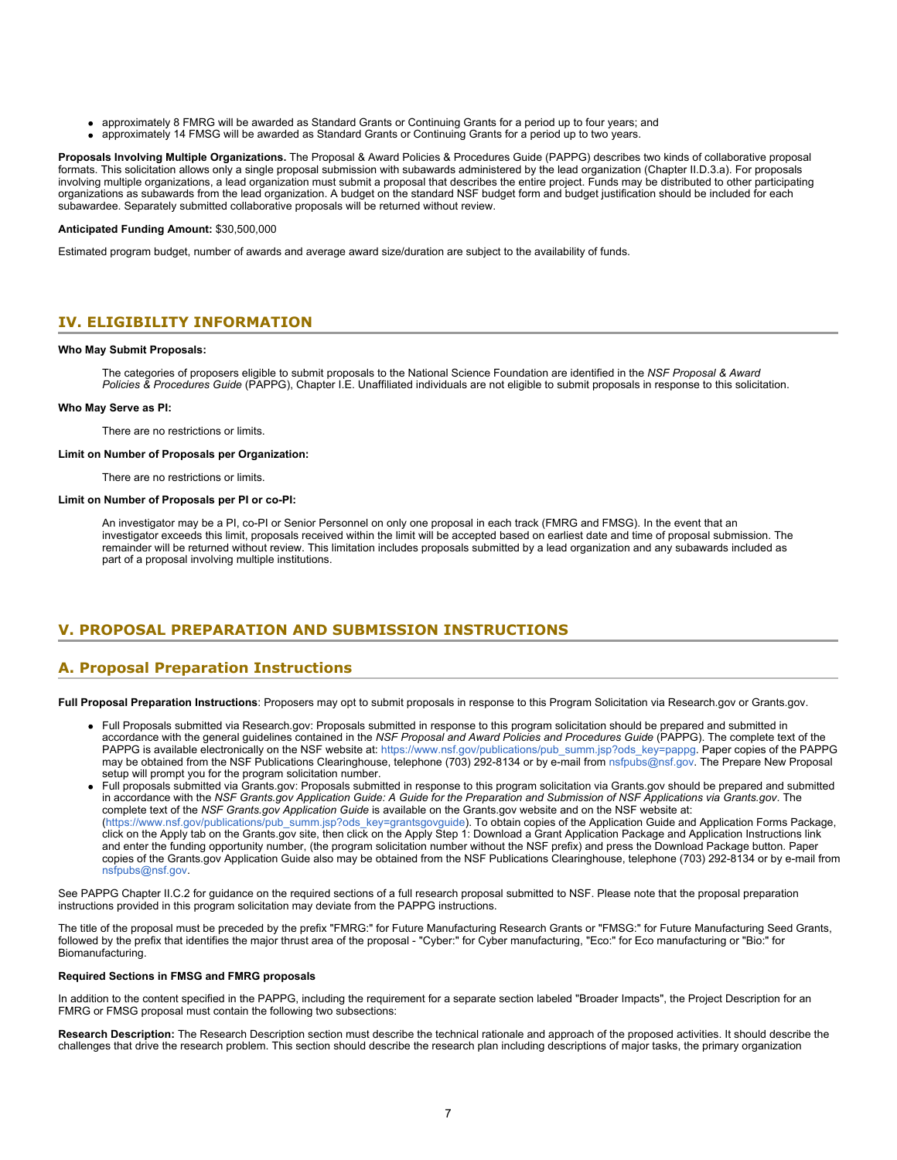- approximately 8 FMRG will be awarded as Standard Grants or Continuing Grants for a period up to four years; and
- approximately 14 FMSG will be awarded as Standard Grants or Continuing Grants for a period up to two years.

**Proposals Involving Multiple Organizations.** The Proposal & Award Policies & Procedures Guide (PAPPG) describes two kinds of collaborative proposal formats. This solicitation allows only a single proposal submission with subawards administered by the lead organization (Chapter II.D.3.a). For proposals involving multiple organizations, a lead organization must submit a proposal that describes the entire project. Funds may be distributed to other participating organizations as subawards from the lead organization. A budget on the standard NSF budget form and budget justification should be included for each subawardee. Separately submitted collaborative proposals will be returned without review.

#### **Anticipated Funding Amount:** \$30,500,000

Estimated program budget, number of awards and average award size/duration are subject to the availability of funds.

# <span id="page-6-0"></span>**IV. ELIGIBILITY INFORMATION**

#### **Who May Submit Proposals:**

The categories of proposers eligible to submit proposals to the National Science Foundation are identified in the *NSF Proposal & Award Policies & Procedures Guide* (PAPPG), Chapter I.E. Unaffiliated individuals are not eligible to submit proposals in response to this solicitation.

#### **Who May Serve as PI:**

There are no restrictions or limits.

#### **Limit on Number of Proposals per Organization:**

There are no restrictions or limits.

#### **Limit on Number of Proposals per PI or co-PI:**

An investigator may be a PI, co-PI or Senior Personnel on only one proposal in each track (FMRG and FMSG). In the event that an investigator exceeds this limit, proposals received within the limit will be accepted based on earliest date and time of proposal submission. The remainder will be returned without review. This limitation includes proposals submitted by a lead organization and any subawards included as part of a proposal involving multiple institutions.

# <span id="page-6-1"></span>**V. PROPOSAL PREPARATION AND SUBMISSION INSTRUCTIONS**

# **A. Proposal Preparation Instructions**

**Full Proposal Preparation Instructions**: Proposers may opt to submit proposals in response to this Program Solicitation via Research.gov or Grants.gov.

- Full Proposals submitted via Research.gov: Proposals submitted in response to this program solicitation should be prepared and submitted in accordance with the general guidelines contained in the *NSF Proposal and Award Policies and Procedures Guide* (PAPPG). The complete text of the PAPPG is available electronically on the NSF website at: [https://www.nsf.gov/publications/pub\\_summ.jsp?ods\\_key=pappg](https://www.nsf.gov/publications/pub_summ.jsp?ods_key=pappg). Paper copies of the PAPPG may be obtained from the NSF Publications Clearinghouse, telephone (703) 292-8134 or by e-mail from [nsfpubs@nsf.gov.](mailto:nsfpubs@nsf.gov) The Prepare New Proposal setup will prompt you for the program solicitation number.
- Full proposals submitted via Grants.gov: Proposals submitted in response to this program solicitation via Grants.gov should be prepared and submitted in accordance with the *NSF Grants.gov Application Guide: A Guide for the Preparation and Submission of NSF Applications via Grants.gov*. The complete text of the *NSF Grants.gov Application Guide* is available on the Grants.gov website and on the NSF website at: [\(https://www.nsf.gov/publications/pub\\_summ.jsp?ods\\_key=grantsgovguide\)](https://www.nsf.gov/publications/pub_summ.jsp?ods_key=grantsgovguide). To obtain copies of the Application Guide and Application Forms Package, click on the Apply tab on the Grants.gov site, then click on the Apply Step 1: Download a Grant Application Package and Application Instructions link and enter the funding opportunity number, (the program solicitation number without the NSF prefix) and press the Download Package button. Paper copies of the Grants.gov Application Guide also may be obtained from the NSF Publications Clearinghouse, telephone (703) 292-8134 or by e-mail from [nsfpubs@nsf.gov.](mailto:nsfpubs@nsf.gov)

See PAPPG Chapter II.C.2 for guidance on the required sections of a full research proposal submitted to NSF. Please note that the proposal preparation instructions provided in this program solicitation may deviate from the PAPPG instructions.

The title of the proposal must be preceded by the prefix "FMRG:" for Future Manufacturing Research Grants or "FMSG:" for Future Manufacturing Seed Grants, followed by the prefix that identifies the major thrust area of the proposal - "Cyber:" for Cyber manufacturing, "Eco:" for Eco manufacturing or "Bio:" for Biomanufacturing.

#### **Required Sections in FMSG and FMRG proposals**

In addition to the content specified in the PAPPG, including the requirement for a separate section labeled "Broader Impacts", the Project Description for an FMRG or FMSG proposal must contain the following two subsections:

**Research Description:** The Research Description section must describe the technical rationale and approach of the proposed activities. It should describe the challenges that drive the research problem. This section should describe the research plan including descriptions of major tasks, the primary organization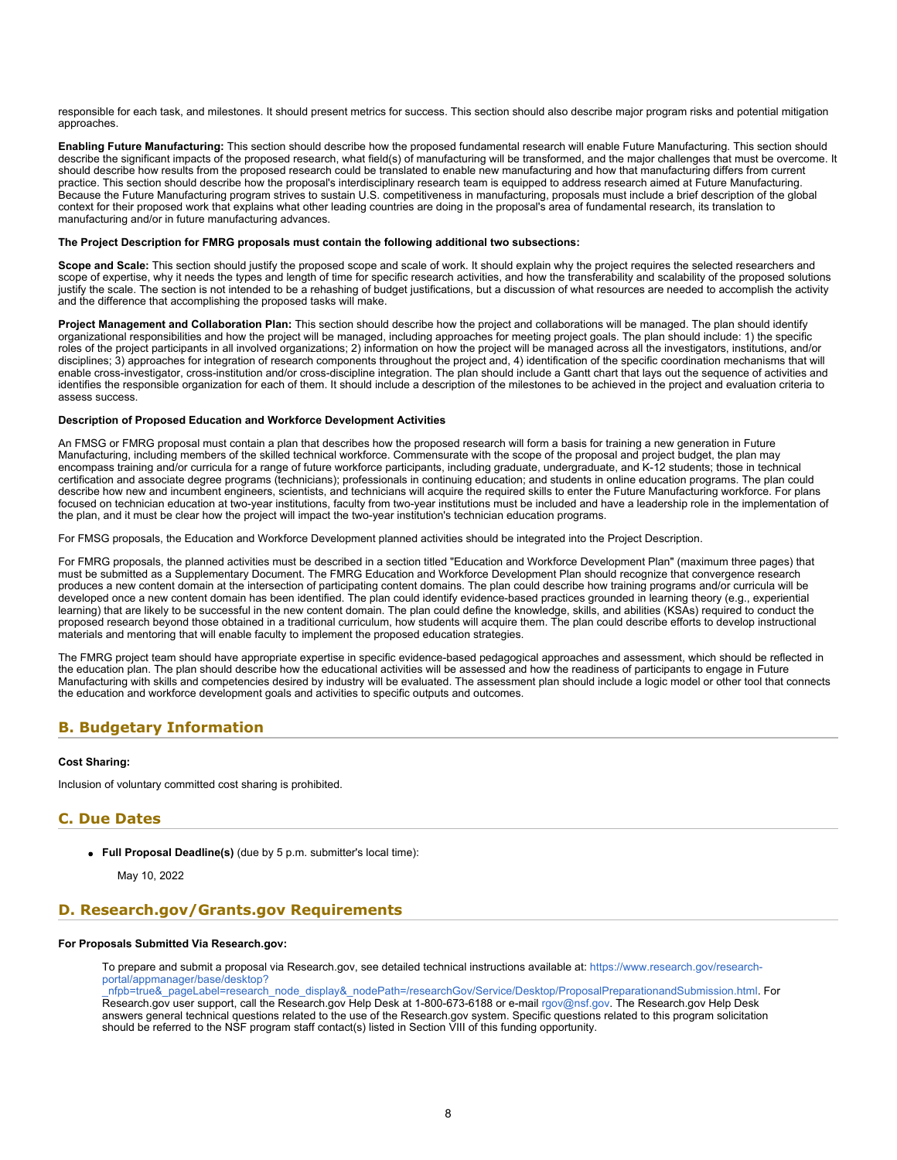responsible for each task, and milestones. It should present metrics for success. This section should also describe major program risks and potential mitigation approaches.

**Enabling Future Manufacturing:** This section should describe how the proposed fundamental research will enable Future Manufacturing. This section should describe the significant impacts of the proposed research, what field(s) of manufacturing will be transformed, and the major challenges that must be overcome. It should describe how results from the proposed research could be translated to enable new manufacturing and how that manufacturing differs from current practice. This section should describe how the proposal's interdisciplinary research team is equipped to address research aimed at Future Manufacturing. Because the Future Manufacturing program strives to sustain U.S. competitiveness in manufacturing, proposals must include a brief description of the global context for their proposed work that explains what other leading countries are doing in the proposal's area of fundamental research, its translation to manufacturing and/or in future manufacturing advances.

#### **The Project Description for FMRG proposals must contain the following additional two subsections:**

**Scope and Scale:** This section should justify the proposed scope and scale of work. It should explain why the project requires the selected researchers and scope of expertise, why it needs the types and length of time for specific research activities, and how the transferability and scalability of the proposed solutions justify the scale. The section is not intended to be a rehashing of budget justifications, but a discussion of what resources are needed to accomplish the activity and the difference that accomplishing the proposed tasks will make.

**Project Management and Collaboration Plan:** This section should describe how the project and collaborations will be managed. The plan should identify organizational responsibilities and how the project will be managed, including approaches for meeting project goals. The plan should include: 1) the specific roles of the project participants in all involved organizations; 2) information on how the project will be managed across all the investigators, institutions, and/or disciplines; 3) approaches for integration of research components throughout the project and, 4) identification of the specific coordination mechanisms that will enable cross-investigator, cross-institution and/or cross-discipline integration. The plan should include a Gantt chart that lays out the sequence of activities and identifies the responsible organization for each of them. It should include a description of the milestones to be achieved in the project and evaluation criteria to assess success.

#### **Description of Proposed Education and Workforce Development Activities**

An FMSG or FMRG proposal must contain a plan that describes how the proposed research will form a basis for training a new generation in Future Manufacturing, including members of the skilled technical workforce. Commensurate with the scope of the proposal and project budget, the plan may encompass training and/or curricula for a range of future workforce participants, including graduate, undergraduate, and K-12 students; those in technical certification and associate degree programs (technicians); professionals in continuing education; and students in online education programs. The plan could describe how new and incumbent engineers, scientists, and technicians will acquire the required skills to enter the Future Manufacturing workforce. For plans focused on technician education at two-year institutions, faculty from two-year institutions must be included and have a leadership role in the implementation of the plan, and it must be clear how the project will impact the two-year institution's technician education programs.

For FMSG proposals, the Education and Workforce Development planned activities should be integrated into the Project Description.

For FMRG proposals, the planned activities must be described in a section titled "Education and Workforce Development Plan" (maximum three pages) that must be submitted as a Supplementary Document. The FMRG Education and Workforce Development Plan should recognize that convergence research produces a new content domain at the intersection of participating content domains. The plan could describe how training programs and/or curricula will be developed once a new content domain has been identified. The plan could identify evidence-based practices grounded in learning theory (e.g., experiential learning) that are likely to be successful in the new content domain. The plan could define the knowledge, skills, and abilities (KSAs) required to conduct the proposed research beyond those obtained in a traditional curriculum, how students will acquire them. The plan could describe efforts to develop instructional materials and mentoring that will enable faculty to implement the proposed education strategies.

The FMRG project team should have appropriate expertise in specific evidence-based pedagogical approaches and assessment, which should be reflected in the education plan. The plan should describe how the educational activities will be assessed and how the readiness of participants to engage in Future Manufacturing with skills and competencies desired by industry will be evaluated. The assessment plan should include a logic model or other tool that connects the education and workforce development goals and activities to specific outputs and outcomes.

# <span id="page-7-0"></span>**B. Budgetary Information**

#### **Cost Sharing:**

Inclusion of voluntary committed cost sharing is prohibited.

# <span id="page-7-1"></span>**C. Due Dates**

**Full Proposal Deadline(s)** (due by 5 p.m. submitter's local time):

May 10, 2022

# <span id="page-7-2"></span>**D. Research.gov/Grants.gov Requirements**

#### **For Proposals Submitted Via Research.gov:**

To prepare and submit a proposal via Research.gov, see detailed technical instructions available at: [https://www.research.gov/research](https://www.research.gov/research-portal/appmanager/base/desktop?_nfpb=true&_pageLabel=research_node_display&_nodePath=/researchGov/Service/Desktop/ProposalPreparationandSubmission.html)[portal/appmanager/base/desktop?](https://www.research.gov/research-portal/appmanager/base/desktop?_nfpb=true&_pageLabel=research_node_display&_nodePath=/researchGov/Service/Desktop/ProposalPreparationandSubmission.html)

[\\_nfpb=true&\\_pageLabel=research\\_node\\_display&\\_nodePath=/researchGov/Service/Desktop/ProposalPreparationandSubmission.html](https://www.research.gov/research-portal/appmanager/base/desktop?_nfpb=true&_pageLabel=research_node_display&_nodePath=/researchGov/Service/Desktop/ProposalPreparationandSubmission.html). For Research.gov user support, call the Research.gov Help Desk at 1-800-673-6188 or e-mail [rgov@nsf.gov](mailto:rgov@nsf.gov). The Research.gov Help Desk answers general technical questions related to the use of the Research.gov system. Specific questions related to this program solicitation should be referred to the NSF program staff contact(s) listed in Section VIII of this funding opportunity.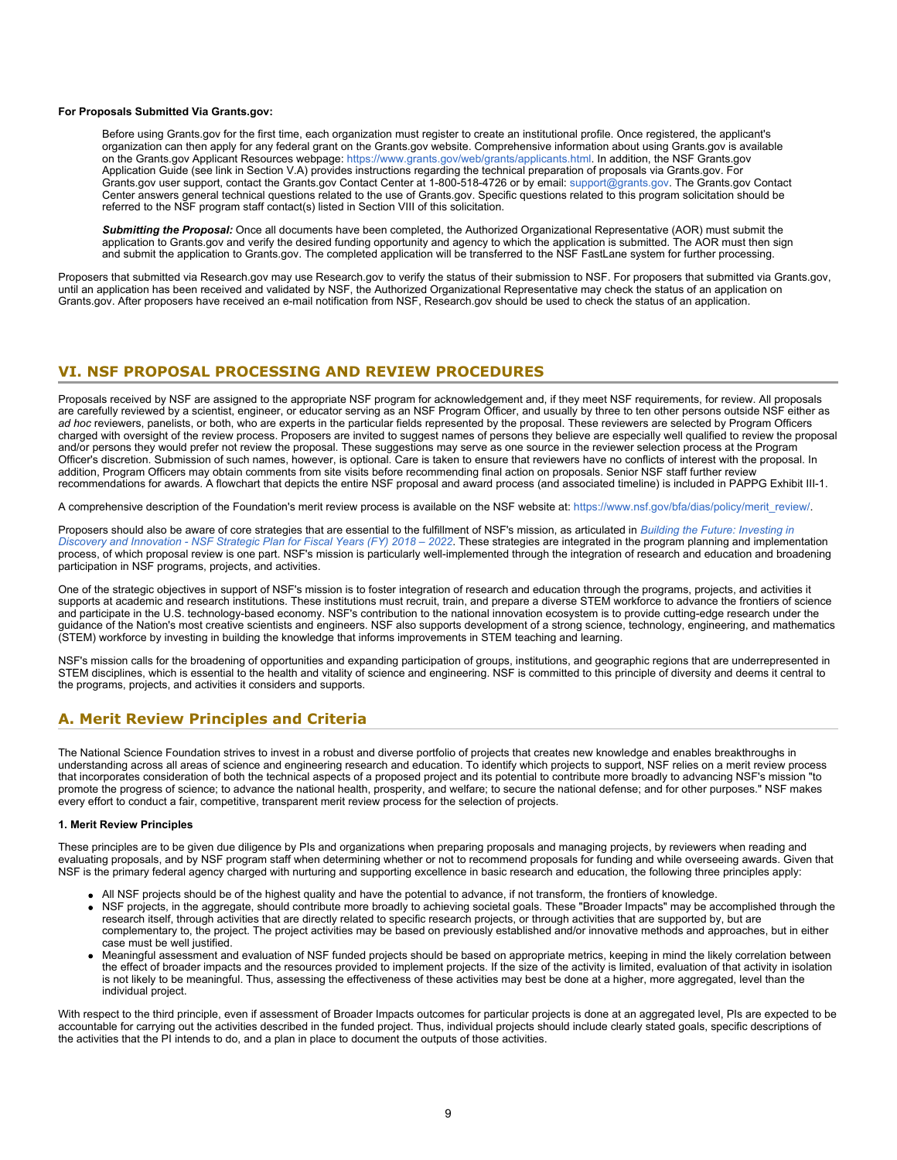#### **For Proposals Submitted Via Grants.gov:**

Before using Grants.gov for the first time, each organization must register to create an institutional profile. Once registered, the applicant's organization can then apply for any federal grant on the Grants.gov website. Comprehensive information about using Grants.gov is available on the Grants.gov Applicant Resources webpage:<https://www.grants.gov/web/grants/applicants.html>. In addition, the NSF Grants.gov Application Guide (see link in Section V.A) provides instructions regarding the technical preparation of proposals via Grants.gov. For Grants.gov user support, contact the Grants.gov Contact Center at 1-800-518-4726 or by email: [support@grants.gov.](mailto:support@grants.gov) The Grants.gov Contact Center answers general technical questions related to the use of Grants.gov. Specific questions related to this program solicitation should be referred to the NSF program staff contact(s) listed in Section VIII of this solicitation.

*Submitting the Proposal:* Once all documents have been completed, the Authorized Organizational Representative (AOR) must submit the application to Grants.gov and verify the desired funding opportunity and agency to which the application is submitted. The AOR must then sign and submit the application to Grants.gov. The completed application will be transferred to the NSF FastLane system for further processing.

Proposers that submitted via Research.gov may use Research.gov to verify the status of their submission to NSF. For proposers that submitted via Grants.gov, until an application has been received and validated by NSF, the Authorized Organizational Representative may check the status of an application on Grants.gov. After proposers have received an e-mail notification from NSF, Research.gov should be used to check the status of an application.

### <span id="page-8-0"></span>**VI. NSF PROPOSAL PROCESSING AND REVIEW PROCEDURES**

Proposals received by NSF are assigned to the appropriate NSF program for acknowledgement and, if they meet NSF requirements, for review. All proposals are carefully reviewed by a scientist, engineer, or educator serving as an NSF Program Officer, and usually by three to ten other persons outside NSF either as *ad hoc* reviewers, panelists, or both, who are experts in the particular fields represented by the proposal. These reviewers are selected by Program Officers charged with oversight of the review process. Proposers are invited to suggest names of persons they believe are especially well qualified to review the proposal and/or persons they would prefer not review the proposal. These suggestions may serve as one source in the reviewer selection process at the Program Officer's discretion. Submission of such names, however, is optional. Care is taken to ensure that reviewers have no conflicts of interest with the proposal. In addition, Program Officers may obtain comments from site visits before recommending final action on proposals. Senior NSF staff further review recommendations for awards. A flowchart that depicts the entire NSF proposal and award process (and associated timeline) is included in PAPPG Exhibit III-1.

A comprehensive description of the Foundation's merit review process is available on the NSF website at: [https://www.nsf.gov/bfa/dias/policy/merit\\_review/](https://www.nsf.gov/bfa/dias/policy/merit_review/).

Proposers should also be aware of core strategies that are essential to the fulfillment of NSF's mission, as articulated in *[Building the Future: Investing in](https://www.nsf.gov/publications/pub_summ.jsp?ods_key=nsf18045) [Discovery and Innovation - NSF Strategic Plan for Fiscal Years \(FY\) 2018 – 2022](https://www.nsf.gov/publications/pub_summ.jsp?ods_key=nsf18045)*. These strategies are integrated in the program planning and implementation process, of which proposal review is one part. NSF's mission is particularly well-implemented through the integration of research and education and broadening participation in NSF programs, projects, and activities.

One of the strategic objectives in support of NSF's mission is to foster integration of research and education through the programs, projects, and activities it supports at academic and research institutions. These institutions must recruit, train, and prepare a diverse STEM workforce to advance the frontiers of science and participate in the U.S. technology-based economy. NSF's contribution to the national innovation ecosystem is to provide cutting-edge research under the guidance of the Nation's most creative scientists and engineers. NSF also supports development of a strong science, technology, engineering, and mathematics (STEM) workforce by investing in building the knowledge that informs improvements in STEM teaching and learning.

NSF's mission calls for the broadening of opportunities and expanding participation of groups, institutions, and geographic regions that are underrepresented in STEM disciplines, which is essential to the health and vitality of science and engineering. NSF is committed to this principle of diversity and deems it central to the programs, projects, and activities it considers and supports.

# <span id="page-8-1"></span>**A. Merit Review Principles and Criteria**

The National Science Foundation strives to invest in a robust and diverse portfolio of projects that creates new knowledge and enables breakthroughs in understanding across all areas of science and engineering research and education. To identify which projects to support, NSF relies on a merit review process that incorporates consideration of both the technical aspects of a proposed project and its potential to contribute more broadly to advancing NSF's mission "to promote the progress of science; to advance the national health, prosperity, and welfare; to secure the national defense; and for other purposes." NSF makes every effort to conduct a fair, competitive, transparent merit review process for the selection of projects.

#### **1. Merit Review Principles**

These principles are to be given due diligence by PIs and organizations when preparing proposals and managing projects, by reviewers when reading and evaluating proposals, and by NSF program staff when determining whether or not to recommend proposals for funding and while overseeing awards. Given that NSF is the primary federal agency charged with nurturing and supporting excellence in basic research and education, the following three principles apply:

- All NSF projects should be of the highest quality and have the potential to advance, if not transform, the frontiers of knowledge.
- NSF projects, in the aggregate, should contribute more broadly to achieving societal goals. These "Broader Impacts" may be accomplished through the research itself, through activities that are directly related to specific research projects, or through activities that are supported by, but are complementary to, the project. The project activities may be based on previously established and/or innovative methods and approaches, but in either case must be well justified.
- Meaningful assessment and evaluation of NSF funded projects should be based on appropriate metrics, keeping in mind the likely correlation between the effect of broader impacts and the resources provided to implement projects. If the size of the activity is limited, evaluation of that activity in isolation is not likely to be meaningful. Thus, assessing the effectiveness of these activities may best be done at a higher, more aggregated, level than the individual project.

With respect to the third principle, even if assessment of Broader Impacts outcomes for particular projects is done at an aggregated level, PIs are expected to be accountable for carrying out the activities described in the funded project. Thus, individual projects should include clearly stated goals, specific descriptions of the activities that the PI intends to do, and a plan in place to document the outputs of those activities.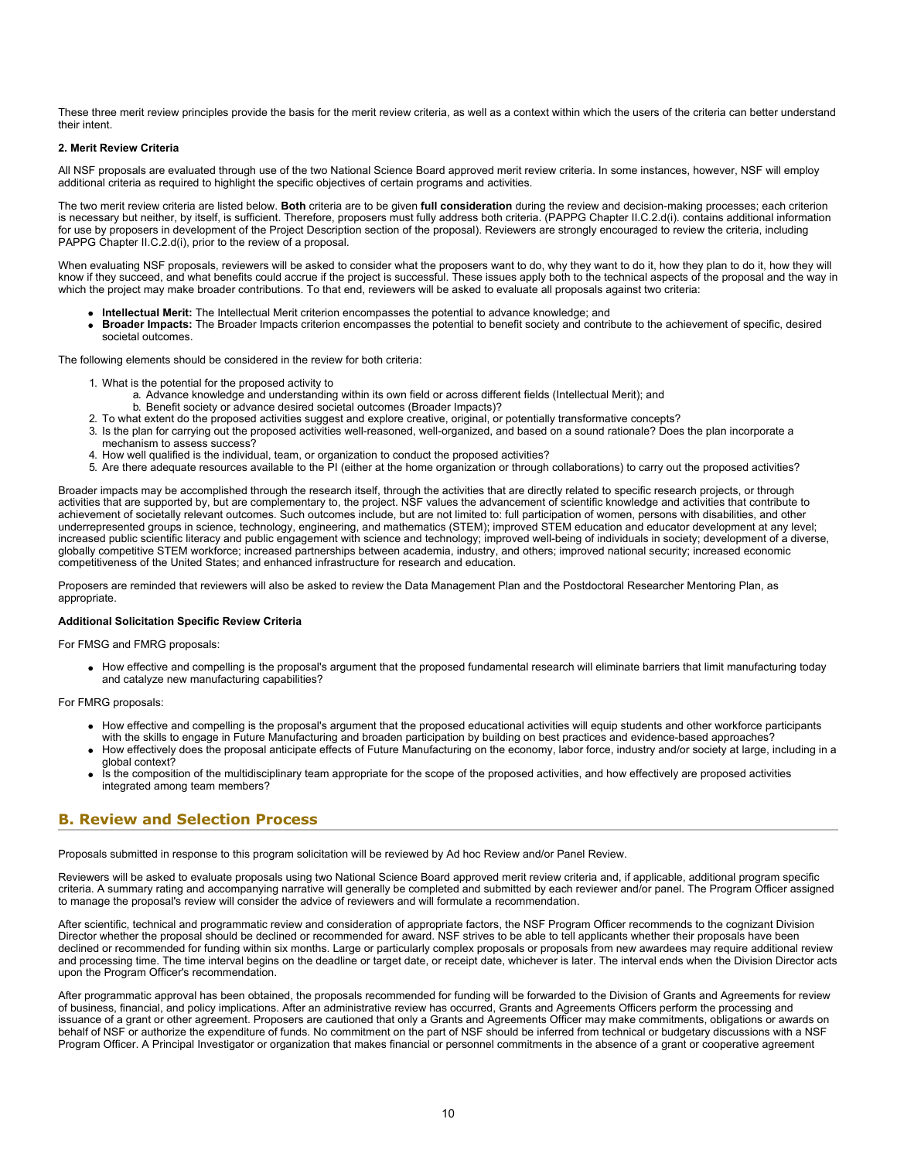These three merit review principles provide the basis for the merit review criteria, as well as a context within which the users of the criteria can better understand their intent.

#### **2. Merit Review Criteria**

All NSF proposals are evaluated through use of the two National Science Board approved merit review criteria. In some instances, however, NSF will employ additional criteria as required to highlight the specific objectives of certain programs and activities.

The two merit review criteria are listed below. **Both** criteria are to be given **full consideration** during the review and decision-making processes; each criterion is necessary but neither, by itself, is sufficient. Therefore, proposers must fully address both criteria. (PAPPG Chapter II.C.2.d(i). contains additional information for use by proposers in development of the Project Description section of the proposal). Reviewers are strongly encouraged to review the criteria, including PAPPG Chapter II.C.2.d(i), prior to the review of a proposal.

When evaluating NSF proposals, reviewers will be asked to consider what the proposers want to do, why they want to do it, how they plan to do it, how they will know if they succeed, and what benefits could accrue if the project is successful. These issues apply both to the technical aspects of the proposal and the way in which the project may make broader contributions. To that end, reviewers will be asked to evaluate all proposals against two criteria:

- **Intellectual Merit:** The Intellectual Merit criterion encompasses the potential to advance knowledge; and
- **Broader Impacts:** The Broader Impacts criterion encompasses the potential to benefit society and contribute to the achievement of specific, desired societal outcomes.

The following elements should be considered in the review for both criteria:

- 1. What is the potential for the proposed activity to
- a. Advance knowledge and understanding within its own field or across different fields (Intellectual Merit); and
	- b. Benefit society or advance desired societal outcomes (Broader Impacts)?
- 2. To what extent do the proposed activities suggest and explore creative, original, or potentially transformative concepts?
- 3. Is the plan for carrying out the proposed activities well-reasoned, well-organized, and based on a sound rationale? Does the plan incorporate a mechanism to assess success?
- 4. How well qualified is the individual, team, or organization to conduct the proposed activities?
- 5. Are there adequate resources available to the PI (either at the home organization or through collaborations) to carry out the proposed activities?

Broader impacts may be accomplished through the research itself, through the activities that are directly related to specific research projects, or through activities that are supported by, but are complementary to, the project. NSF values the advancement of scientific knowledge and activities that contribute to achievement of societally relevant outcomes. Such outcomes include, but are not limited to: full participation of women, persons with disabilities, and other underrepresented groups in science, technology, engineering, and mathematics (STEM); improved STEM education and educator development at any level; increased public scientific literacy and public engagement with science and technology; improved well-being of individuals in society; development of a diverse, globally competitive STEM workforce; increased partnerships between academia, industry, and others; improved national security; increased economic competitiveness of the United States; and enhanced infrastructure for research and education.

Proposers are reminded that reviewers will also be asked to review the Data Management Plan and the Postdoctoral Researcher Mentoring Plan, as appropriate.

#### **Additional Solicitation Specific Review Criteria**

For FMSG and FMRG proposals:

How effective and compelling is the proposal's argument that the proposed fundamental research will eliminate barriers that limit manufacturing today and catalyze new manufacturing capabilities?

For FMRG proposals:

- How effective and compelling is the proposal's argument that the proposed educational activities will equip students and other workforce participants with the skills to engage in Future Manufacturing and broaden participation by building on best practices and evidence-based approaches?
- How effectively does the proposal anticipate effects of Future Manufacturing on the economy, labor force, industry and/or society at large, including in a global context?
- Is the composition of the multidisciplinary team appropriate for the scope of the proposed activities, and how effectively are proposed activities integrated among team members?

# <span id="page-9-0"></span>**B. Review and Selection Process**

Proposals submitted in response to this program solicitation will be reviewed by Ad hoc Review and/or Panel Review.

Reviewers will be asked to evaluate proposals using two National Science Board approved merit review criteria and, if applicable, additional program specific criteria. A summary rating and accompanying narrative will generally be completed and submitted by each reviewer and/or panel. The Program Officer assigned to manage the proposal's review will consider the advice of reviewers and will formulate a recommendation.

After scientific, technical and programmatic review and consideration of appropriate factors, the NSF Program Officer recommends to the cognizant Division Director whether the proposal should be declined or recommended for award. NSF strives to be able to tell applicants whether their proposals have been declined or recommended for funding within six months. Large or particularly complex proposals or proposals from new awardees may require additional review and processing time. The time interval begins on the deadline or target date, or receipt date, whichever is later. The interval ends when the Division Director acts upon the Program Officer's recommendation.

After programmatic approval has been obtained, the proposals recommended for funding will be forwarded to the Division of Grants and Agreements for review of business, financial, and policy implications. After an administrative review has occurred, Grants and Agreements Officers perform the processing and issuance of a grant or other agreement. Proposers are cautioned that only a Grants and Agreements Officer may make commitments, obligations or awards on behalf of NSF or authorize the expenditure of funds. No commitment on the part of NSF should be inferred from technical or budgetary discussions with a NSF Program Officer. A Principal Investigator or organization that makes financial or personnel commitments in the absence of a grant or cooperative agreement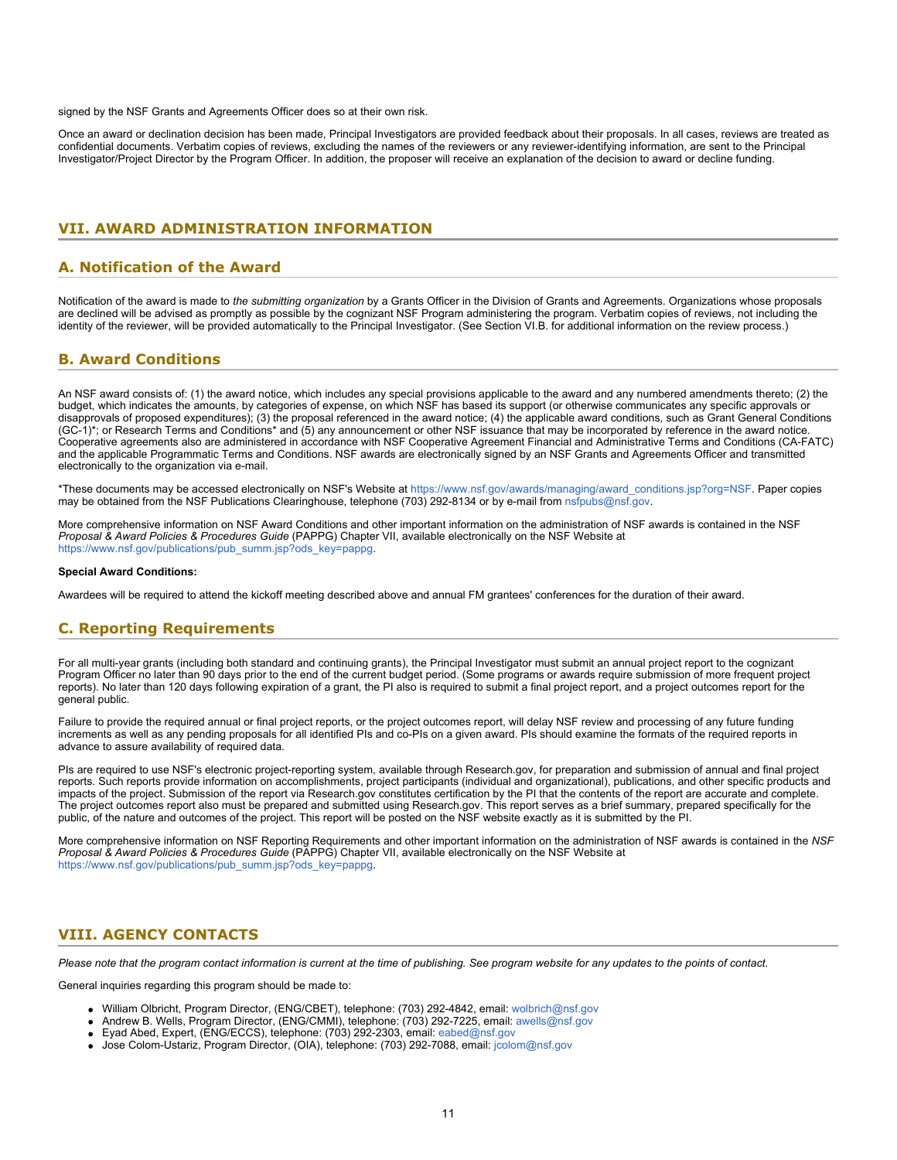signed by the NSF Grants and Agreements Officer does so at their own risk.

Once an award or declination decision has been made, Principal Investigators are provided feedback about their proposals. In all cases, reviews are treated as confidential documents. Verbatim copies of reviews, excluding the names of the reviewers or any reviewer-identifying information, are sent to the Principal Investigator/Project Director by the Program Officer. In addition, the proposer will receive an explanation of the decision to award or decline funding.

# <span id="page-10-0"></span>**VII. AWARD ADMINISTRATION INFORMATION**

### <span id="page-10-1"></span>**A. Notification of the Award**

Notification of the award is made to *the submitting organization* by a Grants Officer in the Division of Grants and Agreements. Organizations whose proposals are declined will be advised as promptly as possible by the cognizant NSF Program administering the program. Verbatim copies of reviews, not including the identity of the reviewer, will be provided automatically to the Principal Investigator. (See Section VI.B. for additional information on the review process.)

# <span id="page-10-2"></span>**B. Award Conditions**

An NSF award consists of: (1) the award notice, which includes any special provisions applicable to the award and any numbered amendments thereto; (2) the budget, which indicates the amounts, by categories of expense, on which NSF has based its support (or otherwise communicates any specific approvals or disapprovals of proposed expenditures); (3) the proposal referenced in the award notice; (4) the applicable award conditions, such as Grant General Conditions (GC-1)\*; or Research Terms and Conditions\* and (5) any announcement or other NSF issuance that may be incorporated by reference in the award notice. Cooperative agreements also are administered in accordance with NSF Cooperative Agreement Financial and Administrative Terms and Conditions (CA-FATC) and the applicable Programmatic Terms and Conditions. NSF awards are electronically signed by an NSF Grants and Agreements Officer and transmitted electronically to the organization via e-mail.

\*These documents may be accessed electronically on NSF's Website at [https://www.nsf.gov/awards/managing/award\\_conditions.jsp?org=NSF](https://www.nsf.gov/awards/managing/award_conditions.jsp?org=NSF). Paper copies may be obtained from the NSF Publications Clearinghouse, telephone (703) 292-8134 or by e-mail from [nsfpubs@nsf.gov.](mailto:nsfpubs@nsf.gov)

More comprehensive information on NSF Award Conditions and other important information on the administration of NSF awards is contained in the NSF *Proposal & Award Policies & Procedures Guide* (PAPPG) Chapter VII, available electronically on the NSF Website at [https://www.nsf.gov/publications/pub\\_summ.jsp?ods\\_key=pappg.](https://www.nsf.gov/publications/pub_summ.jsp?ods_key=pappg)

#### **Special Award Conditions:**

Awardees will be required to attend the kickoff meeting described above and annual FM grantees' conferences for the duration of their award.

### <span id="page-10-3"></span>**C. Reporting Requirements**

For all multi-year grants (including both standard and continuing grants), the Principal Investigator must submit an annual project report to the cognizant Program Officer no later than 90 days prior to the end of the current budget period. (Some programs or awards require submission of more frequent project reports). No later than 120 days following expiration of a grant, the PI also is required to submit a final project report, and a project outcomes report for the general public.

Failure to provide the required annual or final project reports, or the project outcomes report, will delay NSF review and processing of any future funding increments as well as any pending proposals for all identified PIs and co-PIs on a given award. PIs should examine the formats of the required reports in advance to assure availability of required data.

PIs are required to use NSF's electronic project-reporting system, available through Research.gov, for preparation and submission of annual and final project reports. Such reports provide information on accomplishments, project participants (individual and organizational), publications, and other specific products and impacts of the project. Submission of the report via Research.gov constitutes certification by the PI that the contents of the report are accurate and complete. The project outcomes report also must be prepared and submitted using Research.gov. This report serves as a brief summary, prepared specifically for the public, of the nature and outcomes of the project. This report will be posted on the NSF website exactly as it is submitted by the PI.

More comprehensive information on NSF Reporting Requirements and other important information on the administration of NSF awards is contained in the *NSF Proposal & Award Policies & Procedures Guide* (PAPPG) Chapter VII, available electronically on the NSF Website at [https://www.nsf.gov/publications/pub\\_summ.jsp?ods\\_key=pappg.](https://www.nsf.gov/publications/pub_summ.jsp?ods_key=pappg)

# <span id="page-10-4"></span>**VIII. AGENCY CONTACTS**

*Please note that the program contact information is current at the time of publishing. See program website for any updates to the points of contact.*

General inquiries regarding this program should be made to:

- William Olbricht, Program Director, (ENG/CBET), telephone: (703) 292-4842, email: [wolbrich@nsf.gov](mailto:wolbrich@nsf.gov)
- Andrew B. Wells, Program Director, (ENG/CMMI), telephone: (703) 292-7225, email: [awells@nsf.gov](mailto:awells@nsf.gov)
- Eyad Abed, Expert, (ENG/ECCS), telephone: (703) 292-2303, email: [eabed@nsf.gov](mailto:eabed@nsf.gov)
- Jose Colom-Ustariz, Program Director, (OIA), telephone: (703) 292-7088, email: [jcolom@nsf.gov](mailto:jcolom@nsf.gov)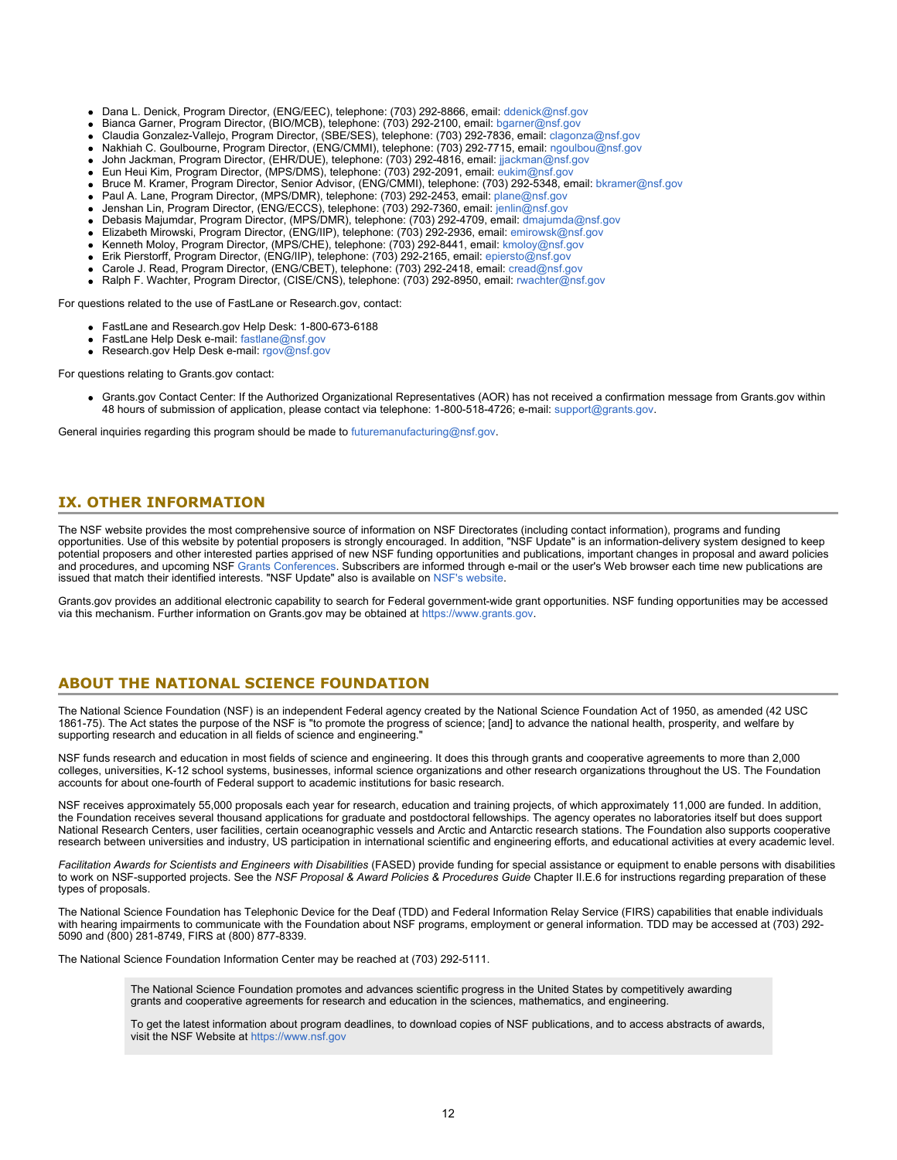- Dana L. Denick, Program Director, (ENG/EEC), telephone: (703) 292-8866, email: [ddenick@nsf.gov](mailto:ddenick@nsf.gov)
- Bianca Garner, Program Director, (BIO/MCB), telephone: (703) 292-2100, email: [bgarner@nsf.gov](mailto:bgarner@nsf.gov)
- Claudia Gonzalez-Vallejo, Program Director, (SBE/SES), telephone: (703) 292-7836, email: [clagonza@nsf.gov](mailto:clagonza@nsf.gov)
- Nakhiah C. Goulbourne, Program Director, (ENG/CMMI), telephone: (703) 292-7715, email: [ngoulbou@nsf.gov](mailto:ngoulbou@nsf.gov)
- John Jackman, Program Director, (EHR/DUE), telephone: (703) 292-4816, email: [jjackman@nsf.gov](mailto:jjackman@nsf.gov)
- Eun Heui Kim, Program Director, (MPS/DMS), telephone: (703) 292-2091, email: [eukim@nsf.gov](mailto:eukim@nsf.gov)
- Bruce M. Kramer, Program Director, Senior Advisor, (ENG/CMMI), telephone: (703) 292-5348, email: [bkramer@nsf.gov](mailto:bkramer@nsf.gov)
- Paul A. Lane, Program Director, (MPS/DMR), telephone: (703) 292-2453, email: [plane@nsf.gov](mailto:plane@nsf.gov)
- Jenshan Lin, Program Director, (ENG/ECCS), telephone: (703) 292-7360, email: [jenlin@nsf.gov](mailto:jenlin@nsf.gov)
- Debasis Majumdar, Program Director, (MPS/DMR), telephone: (703) 292-4709, email: [dmajumda@nsf.gov](mailto:dmajumda@nsf.gov)
- Elizabeth Mirowski, Program Director, (ENG/IIP), telephone: (703) 292-2936, email: [emirowsk@nsf.gov](mailto:emirowsk@nsf.gov)
- Kenneth Moloy, Program Director, (MPS/CHE), telephone: (703) 292-8441, email: [kmoloy@nsf.gov](mailto:kmoloy@nsf.gov)
- Erik Pierstorff, Program Director, (ENG/IIP), telephone: (703) 292-2165, email: [epiersto@nsf.gov](mailto:epiersto@nsf.gov)
- Carole J. Read, Program Director, (ENG/CBET), telephone: (703) 292-2418, email: [cread@nsf.gov](mailto:cread@nsf.gov) Ralph F. Wachter, Program Director, (CISE/CNS), telephone: (703) 292-8950, email: [rwachter@nsf.gov](mailto:rwachter@nsf.gov)

For questions related to the use of FastLane or Research.gov, contact:

- FastLane and Research.gov Help Desk: 1-800-673-6188
- FastLane Help Desk e-mail: [fastlane@nsf.gov](mailto:fastlane@nsf.gov)
- Research.gov Help Desk e-mail: [rgov@nsf.gov](mailto:rgov@nsf.gov)

For questions relating to Grants.gov contact:

Grants.gov Contact Center: If the Authorized Organizational Representatives (AOR) has not received a confirmation message from Grants.gov within 48 hours of submission of application, please contact via telephone: 1-800-518-4726; e-mail: [support@grants.gov](mailto:support@grants.gov).

General inquiries regarding this program should be made to [futuremanufacturing@nsf.gov](mailto:futuremanufacturing@nsf.gov).

# <span id="page-11-0"></span>**IX. OTHER INFORMATION**

The NSF website provides the most comprehensive source of information on NSF Directorates (including contact information), programs and funding opportunities. Use of this website by potential proposers is strongly encouraged. In addition, "NSF Update" is an information-delivery system designed to keep potential proposers and other interested parties apprised of new NSF funding opportunities and publications, important changes in proposal and award policies and procedures, and upcoming NSF [Grants Conferences](https://www.nsf.gov/bfa/dias/policy/outreach.jsp). Subscribers are informed through e-mail or the user's Web browser each time new publications are issued that match their identified interests. "NSF Update" also is available on [NSF's website](https://www.nsf.gov/cgi-bin/goodbye?https://public.govdelivery.com/accounts/USNSF/subscriber/new?topic_id=USNSF_179).

Grants.gov provides an additional electronic capability to search for Federal government-wide grant opportunities. NSF funding opportunities may be accessed via this mechanism. Further information on Grants.gov may be obtained at [https://www.grants.gov](https://www.grants.gov/).

# **ABOUT THE NATIONAL SCIENCE FOUNDATION**

The National Science Foundation (NSF) is an independent Federal agency created by the National Science Foundation Act of 1950, as amended (42 USC 1861-75). The Act states the purpose of the NSF is "to promote the progress of science; [and] to advance the national health, prosperity, and welfare by supporting research and education in all fields of science and engineering."

NSF funds research and education in most fields of science and engineering. It does this through grants and cooperative agreements to more than 2,000 colleges, universities, K-12 school systems, businesses, informal science organizations and other research organizations throughout the US. The Foundation accounts for about one-fourth of Federal support to academic institutions for basic research.

NSF receives approximately 55,000 proposals each year for research, education and training projects, of which approximately 11,000 are funded. In addition, the Foundation receives several thousand applications for graduate and postdoctoral fellowships. The agency operates no laboratories itself but does support National Research Centers, user facilities, certain oceanographic vessels and Arctic and Antarctic research stations. The Foundation also supports cooperative research between universities and industry, US participation in international scientific and engineering efforts, and educational activities at every academic level.

*Facilitation Awards for Scientists and Engineers with Disabilities* (FASED) provide funding for special assistance or equipment to enable persons with disabilities to work on NSF-supported projects. See the *NSF Proposal & Award Policies & Procedures Guide* Chapter II.E.6 for instructions regarding preparation of these types of proposals.

The National Science Foundation has Telephonic Device for the Deaf (TDD) and Federal Information Relay Service (FIRS) capabilities that enable individuals with hearing impairments to communicate with the Foundation about NSF programs, employment or general information. TDD may be accessed at (703) 292- 5090 and (800) 281-8749, FIRS at (800) 877-8339.

The National Science Foundation Information Center may be reached at (703) 292-5111.

The National Science Foundation promotes and advances scientific progress in the United States by competitively awarding grants and cooperative agreements for research and education in the sciences, mathematics, and engineering.

To get the latest information about program deadlines, to download copies of NSF publications, and to access abstracts of awards, visit the NSF Website at [https://www.nsf.gov](https://www.nsf.gov/)